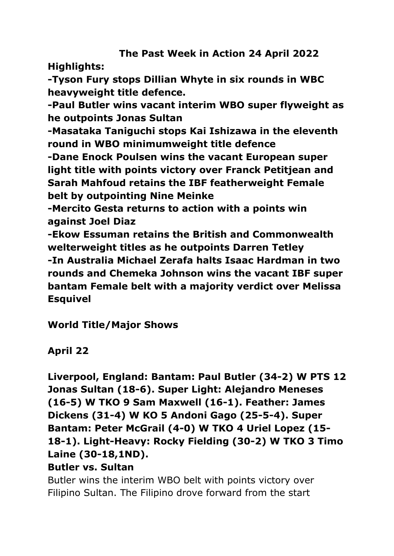# **The Past Week in Action 24 April 2022**

**Highlights:**

**-Tyson Fury stops Dillian Whyte in six rounds in WBC heavyweight title defence.**

**-Paul Butler wins vacant interim WBO super flyweight as he outpoints Jonas Sultan**

**-Masataka Taniguchi stops Kai Ishizawa in the eleventh round in WBO minimumweight title defence**

**-Dane Enock Poulsen wins the vacant European super light title with points victory over Franck Petitjean and Sarah Mahfoud retains the IBF featherweight Female belt by outpointing Nine Meinke**

**-Mercito Gesta returns to action with a points win against Joel Diaz** 

**-Ekow Essuman retains the British and Commonwealth welterweight titles as he outpoints Darren Tetley -In Australia Michael Zerafa halts Isaac Hardman in two rounds and Chemeka Johnson wins the vacant IBF super bantam Female belt with a majority verdict over Melissa Esquivel**

**World Title/Major Shows**

**April 22**

**Liverpool, England: Bantam: Paul Butler (34-2) W PTS 12 Jonas Sultan (18-6). Super Light: Alejandro Meneses (16-5) W TKO 9 Sam Maxwell (16-1). Feather: James Dickens (31-4) W KO 5 Andoni Gago (25-5-4). Super Bantam: Peter McGrail (4-0) W TKO 4 Uriel Lopez (15- 18-1). Light-Heavy: Rocky Fielding (30-2) W TKO 3 Timo Laine (30-18,1ND).** 

#### **Butler vs. Sultan**

Butler wins the interim WBO belt with points victory over Filipino Sultan. The Filipino drove forward from the start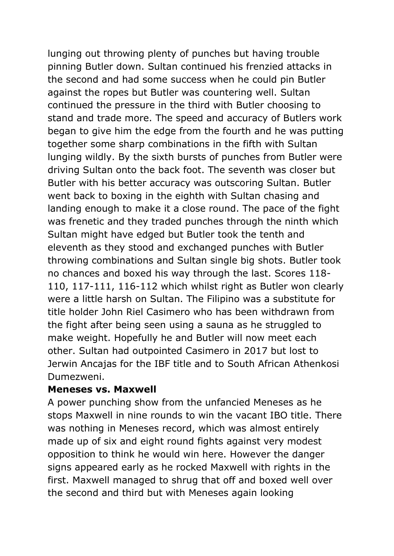lunging out throwing plenty of punches but having trouble pinning Butler down. Sultan continued his frenzied attacks in the second and had some success when he could pin Butler against the ropes but Butler was countering well. Sultan continued the pressure in the third with Butler choosing to stand and trade more. The speed and accuracy of Butlers work began to give him the edge from the fourth and he was putting together some sharp combinations in the fifth with Sultan lunging wildly. By the sixth bursts of punches from Butler were driving Sultan onto the back foot. The seventh was closer but Butler with his better accuracy was outscoring Sultan. Butler went back to boxing in the eighth with Sultan chasing and landing enough to make it a close round. The pace of the fight was frenetic and they traded punches through the ninth which Sultan might have edged but Butler took the tenth and eleventh as they stood and exchanged punches with Butler throwing combinations and Sultan single big shots. Butler took no chances and boxed his way through the last. Scores 118- 110, 117-111, 116-112 which whilst right as Butler won clearly were a little harsh on Sultan. The Filipino was a substitute for title holder John Riel Casimero who has been withdrawn from the fight after being seen using a sauna as he struggled to make weight. Hopefully he and Butler will now meet each other. Sultan had outpointed Casimero in 2017 but lost to Jerwin Ancajas for the IBF title and to South African Athenkosi Dumezweni.

#### **Meneses vs. Maxwell**

A power punching show from the unfancied Meneses as he stops Maxwell in nine rounds to win the vacant IBO title. There was nothing in Meneses record, which was almost entirely made up of six and eight round fights against very modest opposition to think he would win here. However the danger signs appeared early as he rocked Maxwell with rights in the first. Maxwell managed to shrug that off and boxed well over the second and third but with Meneses again looking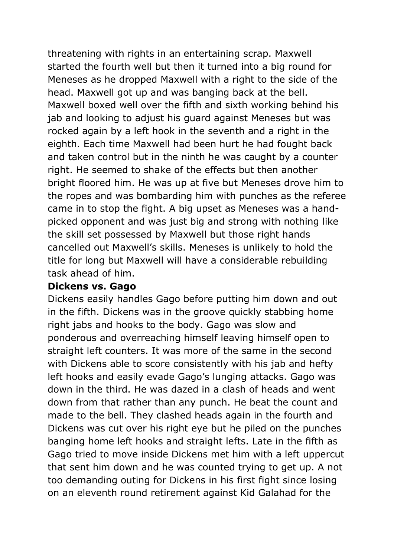threatening with rights in an entertaining scrap. Maxwell started the fourth well but then it turned into a big round for Meneses as he dropped Maxwell with a right to the side of the head. Maxwell got up and was banging back at the bell. Maxwell boxed well over the fifth and sixth working behind his jab and looking to adjust his guard against Meneses but was rocked again by a left hook in the seventh and a right in the eighth. Each time Maxwell had been hurt he had fought back and taken control but in the ninth he was caught by a counter right. He seemed to shake of the effects but then another bright floored him. He was up at five but Meneses drove him to the ropes and was bombarding him with punches as the referee came in to stop the fight. A big upset as Meneses was a handpicked opponent and was just big and strong with nothing like the skill set possessed by Maxwell but those right hands cancelled out Maxwell's skills. Meneses is unlikely to hold the title for long but Maxwell will have a considerable rebuilding task ahead of him.

#### **Dickens vs. Gago**

Dickens easily handles Gago before putting him down and out in the fifth. Dickens was in the groove quickly stabbing home right jabs and hooks to the body. Gago was slow and ponderous and overreaching himself leaving himself open to straight left counters. It was more of the same in the second with Dickens able to score consistently with his jab and hefty left hooks and easily evade Gago's lunging attacks. Gago was down in the third. He was dazed in a clash of heads and went down from that rather than any punch. He beat the count and made to the bell. They clashed heads again in the fourth and Dickens was cut over his right eye but he piled on the punches banging home left hooks and straight lefts. Late in the fifth as Gago tried to move inside Dickens met him with a left uppercut that sent him down and he was counted trying to get up. A not too demanding outing for Dickens in his first fight since losing on an eleventh round retirement against Kid Galahad for the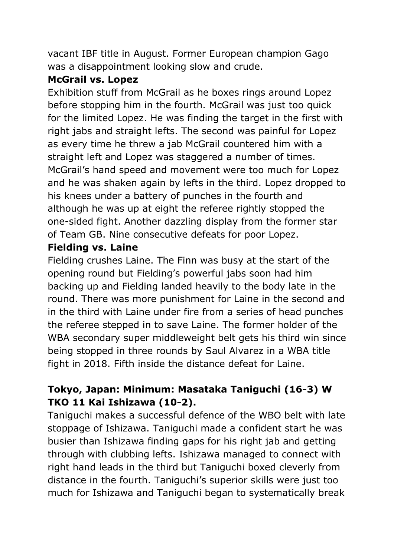vacant IBF title in August. Former European champion Gago was a disappointment looking slow and crude.

## **McGrail vs. Lopez**

Exhibition stuff from McGrail as he boxes rings around Lopez before stopping him in the fourth. McGrail was just too quick for the limited Lopez. He was finding the target in the first with right jabs and straight lefts. The second was painful for Lopez as every time he threw a jab McGrail countered him with a straight left and Lopez was staggered a number of times. McGrail's hand speed and movement were too much for Lopez and he was shaken again by lefts in the third. Lopez dropped to his knees under a battery of punches in the fourth and although he was up at eight the referee rightly stopped the one-sided fight. Another dazzling display from the former star of Team GB. Nine consecutive defeats for poor Lopez.

## **Fielding vs. Laine**

Fielding crushes Laine. The Finn was busy at the start of the opening round but Fielding's powerful jabs soon had him backing up and Fielding landed heavily to the body late in the round. There was more punishment for Laine in the second and in the third with Laine under fire from a series of head punches the referee stepped in to save Laine. The former holder of the WBA secondary super middleweight belt gets his third win since being stopped in three rounds by Saul Alvarez in a WBA title fight in 2018. Fifth inside the distance defeat for Laine.

# **Tokyo, Japan: Minimum: Masataka Taniguchi (16-3) W TKO 11 Kai Ishizawa (10-2).**

Taniguchi makes a successful defence of the WBO belt with late stoppage of Ishizawa. Taniguchi made a confident start he was busier than Ishizawa finding gaps for his right jab and getting through with clubbing lefts. Ishizawa managed to connect with right hand leads in the third but Taniguchi boxed cleverly from distance in the fourth. Taniguchi's superior skills were just too much for Ishizawa and Taniguchi began to systematically break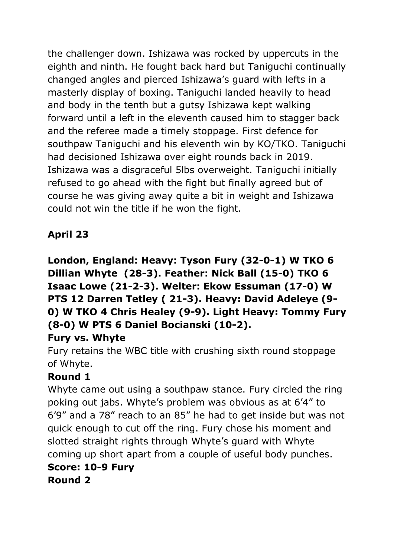the challenger down. Ishizawa was rocked by uppercuts in the eighth and ninth. He fought back hard but Taniguchi continually changed angles and pierced Ishizawa's guard with lefts in a masterly display of boxing. Taniguchi landed heavily to head and body in the tenth but a gutsy Ishizawa kept walking forward until a left in the eleventh caused him to stagger back and the referee made a timely stoppage. First defence for southpaw Taniguchi and his eleventh win by KO/TKO. Taniguchi had decisioned Ishizawa over eight rounds back in 2019. Ishizawa was a disgraceful 5lbs overweight. Taniguchi initially refused to go ahead with the fight but finally agreed but of course he was giving away quite a bit in weight and Ishizawa could not win the title if he won the fight.

# **April 23**

**London, England: Heavy: Tyson Fury (32-0-1) W TKO 6 Dillian Whyte (28-3). Feather: Nick Ball (15-0) TKO 6 Isaac Lowe (21-2-3). Welter: Ekow Essuman (17-0) W PTS 12 Darren Tetley ( 21-3). Heavy: David Adeleye (9- 0) W TKO 4 Chris Healey (9-9). Light Heavy: Tommy Fury (8-0) W PTS 6 Daniel Bocianski (10-2).**

# **Fury vs. Whyte**

Fury retains the WBC title with crushing sixth round stoppage of Whyte.

# **Round 1**

Whyte came out using a southpaw stance. Fury circled the ring poking out jabs. Whyte's problem was obvious as at 6'4" to 6'9" and a 78" reach to an 85" he had to get inside but was not quick enough to cut off the ring. Fury chose his moment and slotted straight rights through Whyte's guard with Whyte coming up short apart from a couple of useful body punches.

#### **Score: 10-9 Fury Round 2**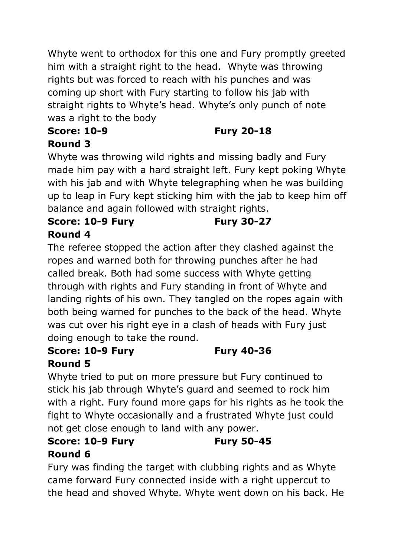Whyte went to orthodox for this one and Fury promptly greeted him with a straight right to the head. Whyte was throwing rights but was forced to reach with his punches and was coming up short with Fury starting to follow his jab with straight rights to Whyte's head. Whyte's only punch of note was a right to the body

# **Score: 10-9 Fury 20-18**

# **Round 3**

Whyte was throwing wild rights and missing badly and Fury made him pay with a hard straight left. Fury kept poking Whyte with his jab and with Whyte telegraphing when he was building up to leap in Fury kept sticking him with the jab to keep him off balance and again followed with straight rights.

#### **Score: 10-9 Fury Fury 30-27 Round 4**

The referee stopped the action after they clashed against the ropes and warned both for throwing punches after he had called break. Both had some success with Whyte getting through with rights and Fury standing in front of Whyte and landing rights of his own. They tangled on the ropes again with both being warned for punches to the back of the head. Whyte was cut over his right eye in a clash of heads with Fury just doing enough to take the round.

## **Score: 10-9 Fury Fury 40-36 Round 5**

Whyte tried to put on more pressure but Fury continued to stick his jab through Whyte's guard and seemed to rock him with a right. Fury found more gaps for his rights as he took the fight to Whyte occasionally and a frustrated Whyte just could not get close enough to land with any power.

# **Score: 10-9 Fury Fury 50-45 Round 6**

Fury was finding the target with clubbing rights and as Whyte came forward Fury connected inside with a right uppercut to the head and shoved Whyte. Whyte went down on his back. He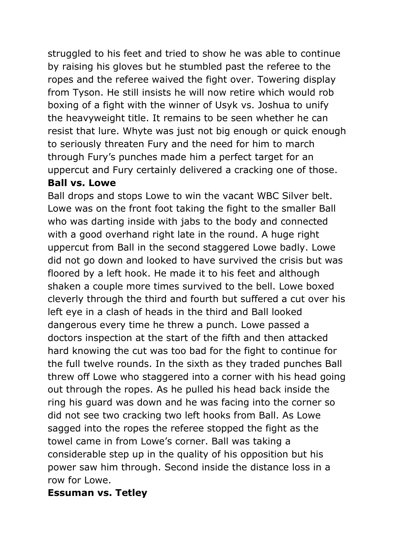struggled to his feet and tried to show he was able to continue by raising his gloves but he stumbled past the referee to the ropes and the referee waived the fight over. Towering display from Tyson. He still insists he will now retire which would rob boxing of a fight with the winner of Usyk vs. Joshua to unify the heavyweight title. It remains to be seen whether he can resist that lure. Whyte was just not big enough or quick enough to seriously threaten Fury and the need for him to march through Fury's punches made him a perfect target for an uppercut and Fury certainly delivered a cracking one of those.

#### **Ball vs. Lowe**

Ball drops and stops Lowe to win the vacant WBC Silver belt. Lowe was on the front foot taking the fight to the smaller Ball who was darting inside with jabs to the body and connected with a good overhand right late in the round. A huge right uppercut from Ball in the second staggered Lowe badly. Lowe did not go down and looked to have survived the crisis but was floored by a left hook. He made it to his feet and although shaken a couple more times survived to the bell. Lowe boxed cleverly through the third and fourth but suffered a cut over his left eye in a clash of heads in the third and Ball looked dangerous every time he threw a punch. Lowe passed a doctors inspection at the start of the fifth and then attacked hard knowing the cut was too bad for the fight to continue for the full twelve rounds. In the sixth as they traded punches Ball threw off Lowe who staggered into a corner with his head going out through the ropes. As he pulled his head back inside the ring his guard was down and he was facing into the corner so did not see two cracking two left hooks from Ball. As Lowe sagged into the ropes the referee stopped the fight as the towel came in from Lowe's corner. Ball was taking a considerable step up in the quality of his opposition but his power saw him through. Second inside the distance loss in a row for Lowe.

#### **Essuman vs. Tetley**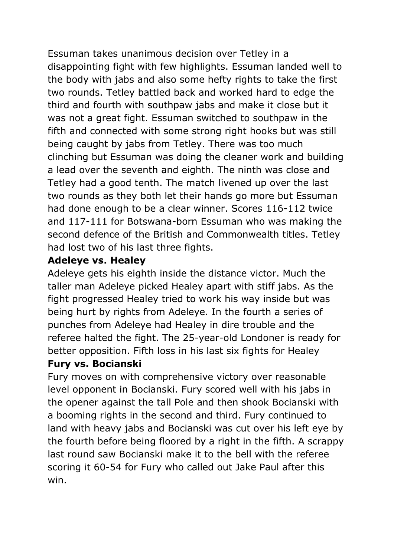Essuman takes unanimous decision over Tetley in a disappointing fight with few highlights. Essuman landed well to the body with jabs and also some hefty rights to take the first two rounds. Tetley battled back and worked hard to edge the third and fourth with southpaw jabs and make it close but it was not a great fight. Essuman switched to southpaw in the fifth and connected with some strong right hooks but was still being caught by jabs from Tetley. There was too much clinching but Essuman was doing the cleaner work and building a lead over the seventh and eighth. The ninth was close and Tetley had a good tenth. The match livened up over the last two rounds as they both let their hands go more but Essuman had done enough to be a clear winner. Scores 116-112 twice and 117-111 for Botswana-born Essuman who was making the second defence of the British and Commonwealth titles. Tetley had lost two of his last three fights.

## **Adeleye vs. Healey**

Adeleye gets his eighth inside the distance victor. Much the taller man Adeleye picked Healey apart with stiff jabs. As the fight progressed Healey tried to work his way inside but was being hurt by rights from Adeleye. In the fourth a series of punches from Adeleye had Healey in dire trouble and the referee halted the fight. The 25-year-old Londoner is ready for better opposition. Fifth loss in his last six fights for Healey

#### **Fury vs. Bocianski**

Fury moves on with comprehensive victory over reasonable level opponent in Bocianski. Fury scored well with his jabs in the opener against the tall Pole and then shook Bocianski with a booming rights in the second and third. Fury continued to land with heavy jabs and Bocianski was cut over his left eye by the fourth before being floored by a right in the fifth. A scrappy last round saw Bocianski make it to the bell with the referee scoring it 60-54 for Fury who called out Jake Paul after this win.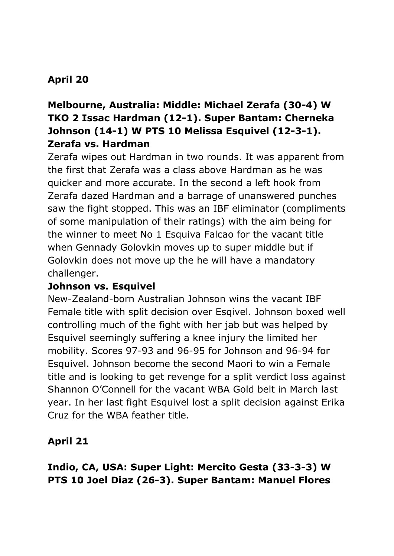# **April 20**

# **Melbourne, Australia: Middle: Michael Zerafa (30-4) W TKO 2 Issac Hardman (12-1). Super Bantam: Cherneka Johnson (14-1) W PTS 10 Melissa Esquivel (12-3-1). Zerafa vs. Hardman**

Zerafa wipes out Hardman in two rounds. It was apparent from the first that Zerafa was a class above Hardman as he was quicker and more accurate. In the second a left hook from Zerafa dazed Hardman and a barrage of unanswered punches saw the fight stopped. This was an IBF eliminator (compliments of some manipulation of their ratings) with the aim being for the winner to meet No 1 Esquiva Falcao for the vacant title when Gennady Golovkin moves up to super middle but if Golovkin does not move up the he will have a mandatory challenger.

#### **Johnson vs. Esquivel**

New-Zealand-born Australian Johnson wins the vacant IBF Female title with split decision over Esqivel. Johnson boxed well controlling much of the fight with her jab but was helped by Esquivel seemingly suffering a knee injury the limited her mobility. Scores 97-93 and 96-95 for Johnson and 96-94 for Esquivel. Johnson become the second Maori to win a Female title and is looking to get revenge for a split verdict loss against Shannon O'Connell for the vacant WBA Gold belt in March last year. In her last fight Esquivel lost a split decision against Erika Cruz for the WBA feather title.

#### **April 21**

# **Indio, CA, USA: Super Light: Mercito Gesta (33-3-3) W PTS 10 Joel Diaz (26-3). Super Bantam: Manuel Flores**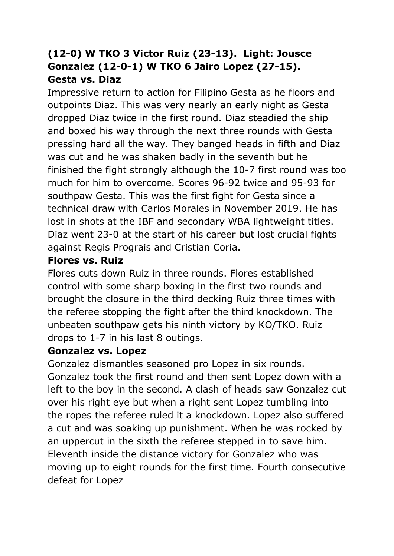# **(12-0) W TKO 3 Victor Ruiz (23-13). Light: Jousce Gonzalez (12-0-1) W TKO 6 Jairo Lopez (27-15). Gesta vs. Diaz**

Impressive return to action for Filipino Gesta as he floors and outpoints Diaz. This was very nearly an early night as Gesta dropped Diaz twice in the first round. Diaz steadied the ship and boxed his way through the next three rounds with Gesta pressing hard all the way. They banged heads in fifth and Diaz was cut and he was shaken badly in the seventh but he finished the fight strongly although the 10-7 first round was too much for him to overcome. Scores 96-92 twice and 95-93 for southpaw Gesta. This was the first fight for Gesta since a technical draw with Carlos Morales in November 2019. He has lost in shots at the IBF and secondary WBA lightweight titles. Diaz went 23-0 at the start of his career but lost crucial fights against Regis Prograis and Cristian Coria.

#### **Flores vs. Ruiz**

Flores cuts down Ruiz in three rounds. Flores established control with some sharp boxing in the first two rounds and brought the closure in the third decking Ruiz three times with the referee stopping the fight after the third knockdown. The unbeaten southpaw gets his ninth victory by KO/TKO. Ruiz drops to 1-7 in his last 8 outings.

#### **Gonzalez vs. Lopez**

Gonzalez dismantles seasoned pro Lopez in six rounds. Gonzalez took the first round and then sent Lopez down with a left to the boy in the second. A clash of heads saw Gonzalez cut over his right eye but when a right sent Lopez tumbling into the ropes the referee ruled it a knockdown. Lopez also suffered a cut and was soaking up punishment. When he was rocked by an uppercut in the sixth the referee stepped in to save him. Eleventh inside the distance victory for Gonzalez who was moving up to eight rounds for the first time. Fourth consecutive defeat for Lopez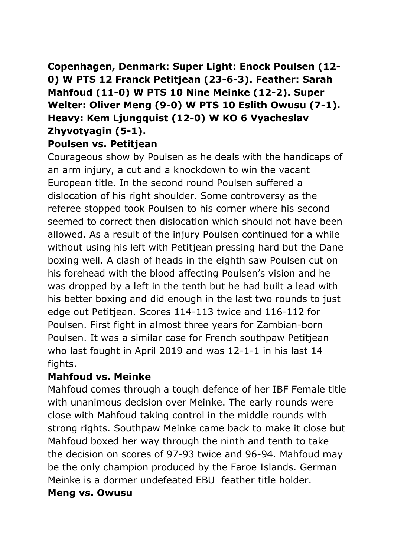# **Copenhagen, Denmark: Super Light: Enock Poulsen (12- 0) W PTS 12 Franck Petitjean (23-6-3). Feather: Sarah Mahfoud (11-0) W PTS 10 Nine Meinke (12-2). Super Welter: Oliver Meng (9-0) W PTS 10 Eslith Owusu (7-1). Heavy: Kem Ljungquist (12-0) W KO 6 Vyacheslav Zhyvotyagin (5-1).**

# **Poulsen vs. Petitjean**

Courageous show by Poulsen as he deals with the handicaps of an arm injury, a cut and a knockdown to win the vacant European title. In the second round Poulsen suffered a dislocation of his right shoulder. Some controversy as the referee stopped took Poulsen to his corner where his second seemed to correct then dislocation which should not have been allowed. As a result of the injury Poulsen continued for a while without using his left with Petitjean pressing hard but the Dane boxing well. A clash of heads in the eighth saw Poulsen cut on his forehead with the blood affecting Poulsen's vision and he was dropped by a left in the tenth but he had built a lead with his better boxing and did enough in the last two rounds to just edge out Petitjean. Scores 114-113 twice and 116-112 for Poulsen. First fight in almost three years for Zambian-born Poulsen. It was a similar case for French southpaw Petitjean who last fought in April 2019 and was 12-1-1 in his last 14 fights.

#### **Mahfoud vs. Meinke**

Mahfoud comes through a tough defence of her IBF Female title with unanimous decision over Meinke. The early rounds were close with Mahfoud taking control in the middle rounds with strong rights. Southpaw Meinke came back to make it close but Mahfoud boxed her way through the ninth and tenth to take the decision on scores of 97-93 twice and 96-94. Mahfoud may be the only champion produced by the Faroe Islands. German Meinke is a dormer undefeated EBU feather title holder.

#### **Meng vs. Owusu**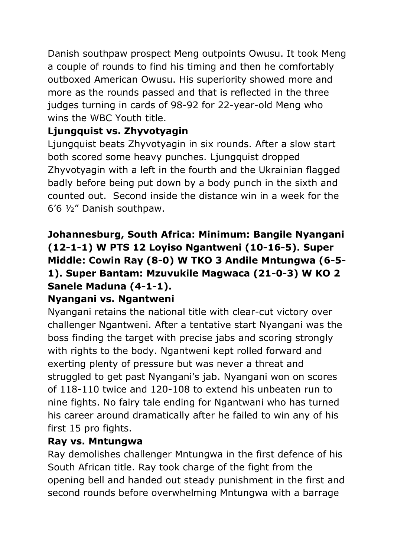Danish southpaw prospect Meng outpoints Owusu. It took Meng a couple of rounds to find his timing and then he comfortably outboxed American Owusu. His superiority showed more and more as the rounds passed and that is reflected in the three judges turning in cards of 98-92 for 22-year-old Meng who wins the WBC Youth title.

# **Ljungquist vs. Zhyvotyagin**

Ljungquist beats Zhyvotyagin in six rounds. After a slow start both scored some heavy punches. Ljungquist dropped Zhyvotyagin with a left in the fourth and the Ukrainian flagged badly before being put down by a body punch in the sixth and counted out. Second inside the distance win in a week for the 6'6 ½" Danish southpaw.

# **Johannesburg, South Africa: Minimum: Bangile Nyangani (12-1-1) W PTS 12 Loyiso Ngantweni (10-16-5). Super Middle: Cowin Ray (8-0) W TKO 3 Andile Mntungwa (6-5- 1). Super Bantam: Mzuvukile Magwaca (21-0-3) W KO 2 Sanele Maduna (4-1-1).**

# **Nyangani vs. Ngantweni**

Nyangani retains the national title with clear-cut victory over challenger Ngantweni. After a tentative start Nyangani was the boss finding the target with precise jabs and scoring strongly with rights to the body. Ngantweni kept rolled forward and exerting plenty of pressure but was never a threat and struggled to get past Nyangani's jab. Nyangani won on scores of 118-110 twice and 120-108 to extend his unbeaten run to nine fights. No fairy tale ending for Ngantwani who has turned his career around dramatically after he failed to win any of his first 15 pro fights.

#### **Ray vs. Mntungwa**

Ray demolishes challenger Mntungwa in the first defence of his South African title. Ray took charge of the fight from the opening bell and handed out steady punishment in the first and second rounds before overwhelming Mntungwa with a barrage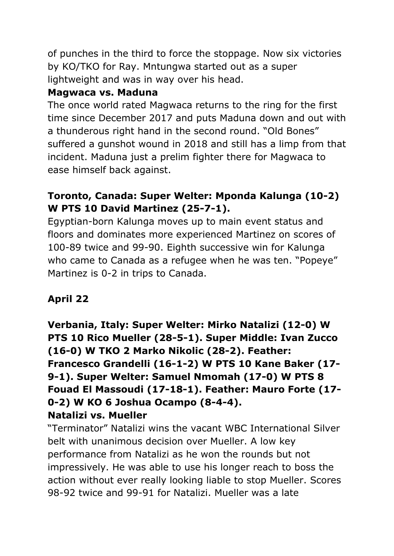of punches in the third to force the stoppage. Now six victories by KO/TKO for Ray. Mntungwa started out as a super lightweight and was in way over his head.

# **Magwaca vs. Maduna**

The once world rated Magwaca returns to the ring for the first time since December 2017 and puts Maduna down and out with a thunderous right hand in the second round. "Old Bones" suffered a gunshot wound in 2018 and still has a limp from that incident. Maduna just a prelim fighter there for Magwaca to ease himself back against.

# **Toronto, Canada: Super Welter: Mponda Kalunga (10-2) W PTS 10 David Martinez (25-7-1).**

Egyptian-born Kalunga moves up to main event status and floors and dominates more experienced Martinez on scores of 100-89 twice and 99-90. Eighth successive win for Kalunga who came to Canada as a refugee when he was ten. "Popeye" Martinez is 0-2 in trips to Canada.

# **April 22**

**Verbania, Italy: Super Welter: Mirko Natalizi (12-0) W PTS 10 Rico Mueller (28-5-1). Super Middle: Ivan Zucco (16-0) W TKO 2 Marko Nikolic (28-2). Feather: Francesco Grandelli (16-1-2) W PTS 10 Kane Baker (17- 9-1). Super Welter: Samuel Nmomah (17-0) W PTS 8 Fouad El Massoudi (17-18-1). Feather: Mauro Forte (17- 0-2) W KO 6 Joshua Ocampo (8-4-4). Natalizi vs. Mueller**

"Terminator" Natalizi wins the vacant WBC International Silver belt with unanimous decision over Mueller. A low key performance from Natalizi as he won the rounds but not impressively. He was able to use his longer reach to boss the action without ever really looking liable to stop Mueller. Scores 98-92 twice and 99-91 for Natalizi. Mueller was a late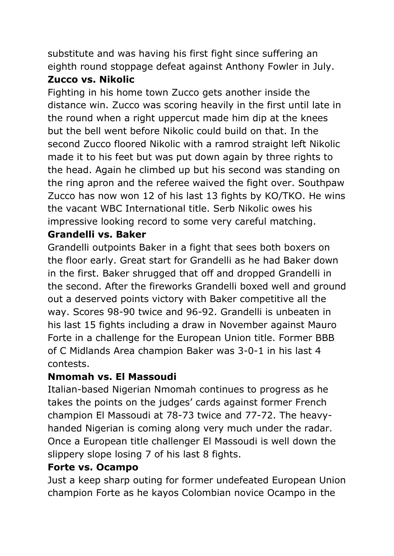substitute and was having his first fight since suffering an eighth round stoppage defeat against Anthony Fowler in July.

# **Zucco vs. Nikolic**

Fighting in his home town Zucco gets another inside the distance win. Zucco was scoring heavily in the first until late in the round when a right uppercut made him dip at the knees but the bell went before Nikolic could build on that. In the second Zucco floored Nikolic with a ramrod straight left Nikolic made it to his feet but was put down again by three rights to the head. Again he climbed up but his second was standing on the ring apron and the referee waived the fight over. Southpaw Zucco has now won 12 of his last 13 fights by KO/TKO. He wins the vacant WBC International title. Serb Nikolic owes his impressive looking record to some very careful matching.

# **Grandelli vs. Baker**

Grandelli outpoints Baker in a fight that sees both boxers on the floor early. Great start for Grandelli as he had Baker down in the first. Baker shrugged that off and dropped Grandelli in the second. After the fireworks Grandelli boxed well and ground out a deserved points victory with Baker competitive all the way. Scores 98-90 twice and 96-92. Grandelli is unbeaten in his last 15 fights including a draw in November against Mauro Forte in a challenge for the European Union title. Former BBB of C Midlands Area champion Baker was 3-0-1 in his last 4 contests.

# **Nmomah vs. El Massoudi**

Italian-based Nigerian Nmomah continues to progress as he takes the points on the judges' cards against former French champion El Massoudi at 78-73 twice and 77-72. The heavyhanded Nigerian is coming along very much under the radar. Once a European title challenger El Massoudi is well down the slippery slope losing 7 of his last 8 fights.

#### **Forte vs. Ocampo**

Just a keep sharp outing for former undefeated European Union champion Forte as he kayos Colombian novice Ocampo in the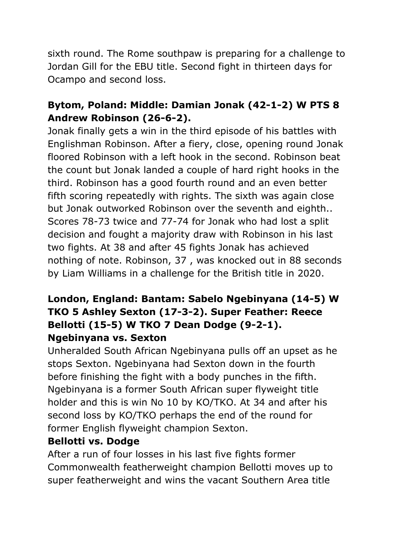sixth round. The Rome southpaw is preparing for a challenge to Jordan Gill for the EBU title. Second fight in thirteen days for Ocampo and second loss.

# **Bytom, Poland: Middle: Damian Jonak (42-1-2) W PTS 8 Andrew Robinson (26-6-2).**

Jonak finally gets a win in the third episode of his battles with Englishman Robinson. After a fiery, close, opening round Jonak floored Robinson with a left hook in the second. Robinson beat the count but Jonak landed a couple of hard right hooks in the third. Robinson has a good fourth round and an even better fifth scoring repeatedly with rights. The sixth was again close but Jonak outworked Robinson over the seventh and eighth.. Scores 78-73 twice and 77-74 for Jonak who had lost a split decision and fought a majority draw with Robinson in his last two fights. At 38 and after 45 fights Jonak has achieved nothing of note. Robinson, 37 , was knocked out in 88 seconds by Liam Williams in a challenge for the British title in 2020.

### **London, England: Bantam: Sabelo Ngebinyana (14-5) W TKO 5 Ashley Sexton (17-3-2). Super Feather: Reece Bellotti (15-5) W TKO 7 Dean Dodge (9-2-1). Ngebinyana vs. Sexton**

Unheralded South African Ngebinyana pulls off an upset as he stops Sexton. Ngebinyana had Sexton down in the fourth before finishing the fight with a body punches in the fifth. Ngebinyana is a former South African super flyweight title holder and this is win No 10 by KO/TKO. At 34 and after his second loss by KO/TKO perhaps the end of the round for former English flyweight champion Sexton.

#### **Bellotti vs. Dodge**

After a run of four losses in his last five fights former Commonwealth featherweight champion Bellotti moves up to super featherweight and wins the vacant Southern Area title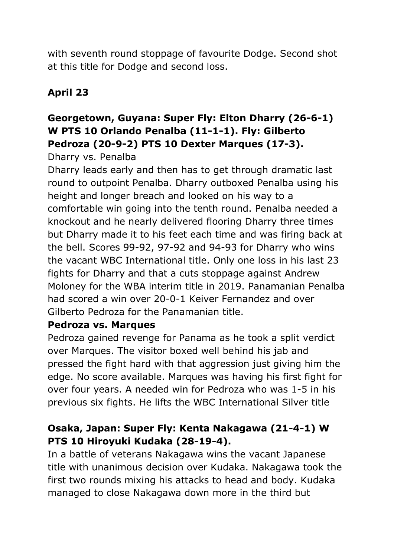with seventh round stoppage of favourite Dodge. Second shot at this title for Dodge and second loss.

# **April 23**

# **Georgetown, Guyana: Super Fly: Elton Dharry (26-6-1) W PTS 10 Orlando Penalba (11-1-1). Fly: Gilberto Pedroza (20-9-2) PTS 10 Dexter Marques (17-3).**

Dharry vs. Penalba

Dharry leads early and then has to get through dramatic last round to outpoint Penalba. Dharry outboxed Penalba using his height and longer breach and looked on his way to a comfortable win going into the tenth round. Penalba needed a knockout and he nearly delivered flooring Dharry three times but Dharry made it to his feet each time and was firing back at the bell. Scores 99-92, 97-92 and 94-93 for Dharry who wins the vacant WBC International title. Only one loss in his last 23 fights for Dharry and that a cuts stoppage against Andrew Moloney for the WBA interim title in 2019. Panamanian Penalba had scored a win over 20-0-1 Keiver Fernandez and over Gilberto Pedroza for the Panamanian title.

#### **Pedroza vs. Marques**

Pedroza gained revenge for Panama as he took a split verdict over Marques. The visitor boxed well behind his jab and pressed the fight hard with that aggression just giving him the edge. No score available. Marques was having his first fight for over four years. A needed win for Pedroza who was 1-5 in his previous six fights. He lifts the WBC International Silver title

# **Osaka, Japan: Super Fly: Kenta Nakagawa (21-4-1) W PTS 10 Hiroyuki Kudaka (28-19-4).**

In a battle of veterans Nakagawa wins the vacant Japanese title with unanimous decision over Kudaka. Nakagawa took the first two rounds mixing his attacks to head and body. Kudaka managed to close Nakagawa down more in the third but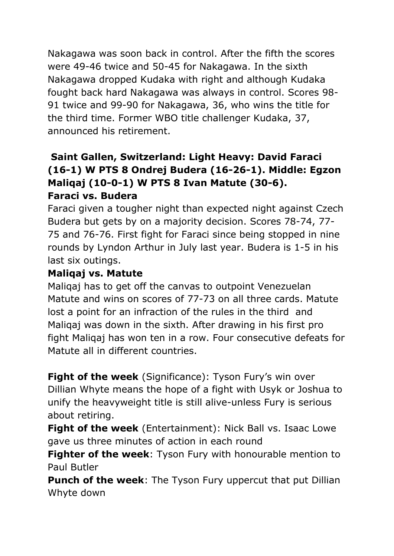Nakagawa was soon back in control. After the fifth the scores were 49-46 twice and 50-45 for Nakagawa. In the sixth Nakagawa dropped Kudaka with right and although Kudaka fought back hard Nakagawa was always in control. Scores 98- 91 twice and 99-90 for Nakagawa, 36, who wins the title for the third time. Former WBO title challenger Kudaka, 37, announced his retirement.

## **Saint Gallen, Switzerland: Light Heavy: David Faraci (16-1) W PTS 8 Ondrej Budera (16-26-1). Middle: Egzon Maliqaj (10-0-1) W PTS 8 Ivan Matute (30-6). Faraci vs. Budera**

Faraci given a tougher night than expected night against Czech Budera but gets by on a majority decision. Scores 78-74, 77- 75 and 76-76. First fight for Faraci since being stopped in nine rounds by Lyndon Arthur in July last year. Budera is 1-5 in his last six outings.

# **Maliqaj vs. Matute**

Maliqaj has to get off the canvas to outpoint Venezuelan Matute and wins on scores of 77-73 on all three cards. Matute lost a point for an infraction of the rules in the third and Maliqaj was down in the sixth. After drawing in his first pro fight Maliqaj has won ten in a row. Four consecutive defeats for Matute all in different countries.

**Fight of the week** (Significance): Tyson Fury's win over Dillian Whyte means the hope of a fight with Usyk or Joshua to unify the heavyweight title is still alive-unless Fury is serious about retiring.

**Fight of the week** (Entertainment): Nick Ball vs. Isaac Lowe gave us three minutes of action in each round

**Fighter of the week**: Tyson Fury with honourable mention to Paul Butler

**Punch of the week:** The Tyson Fury uppercut that put Dillian Whyte down